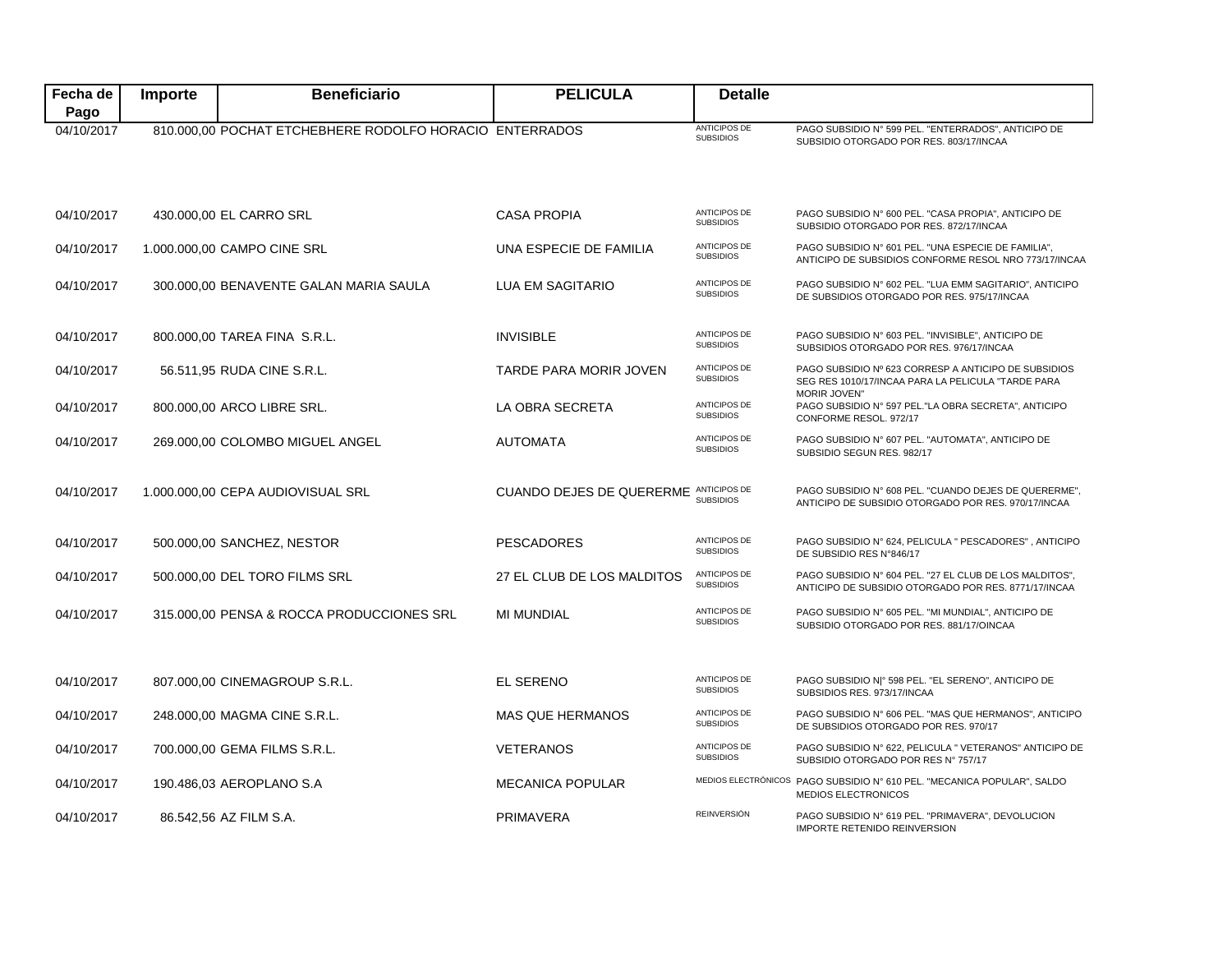| Fecha de           | Importe | <b>Beneficiario</b>                                     | <b>PELICULA</b>                 | <b>Detalle</b>                          |                                                                                                                 |
|--------------------|---------|---------------------------------------------------------|---------------------------------|-----------------------------------------|-----------------------------------------------------------------------------------------------------------------|
| Pago<br>04/10/2017 |         | 810.000,00 POCHAT ETCHEBHERE RODOLFO HORACIO ENTERRADOS |                                 | <b>ANTICIPOS DE</b><br><b>SUBSIDIOS</b> | PAGO SUBSIDIO Nº 599 PEL. "ENTERRADOS", ANTICIPO DE<br>SUBSIDIO OTORGADO POR RES. 803/17/INCAA                  |
| 04/10/2017         |         | 430.000,00 EL CARRO SRL                                 | <b>CASA PROPIA</b>              | <b>ANTICIPOS DE</b><br><b>SUBSIDIOS</b> | PAGO SUBSIDIO Nº 600 PEL. "CASA PROPIA", ANTICIPO DE<br>SUBSIDIO OTORGADO POR RES. 872/17/INCAA                 |
| 04/10/2017         |         | 1.000.000,00 CAMPO CINE SRL                             | UNA ESPECIE DE FAMILIA          | ANTICIPOS DE<br><b>SUBSIDIOS</b>        | PAGO SUBSIDIO Nº 601 PEL. "UNA ESPECIE DE FAMILIA",<br>ANTICIPO DE SUBSIDIOS CONFORME RESOL NRO 773/17/INCAA    |
| 04/10/2017         |         | 300.000,00 BENAVENTE GALAN MARIA SAULA                  | <b>LUA EM SAGITARIO</b>         | <b>ANTICIPOS DE</b><br><b>SUBSIDIOS</b> | PAGO SUBSIDIO Nº 602 PEL. "LUA EMM SAGITARIO", ANTICIPO<br>DE SUBSIDIOS OTORGADO POR RES. 975/17/INCAA          |
| 04/10/2017         |         | 800.000,00 TAREA FINA S.R.L.                            | <b>INVISIBLE</b>                | <b>ANTICIPOS DE</b><br><b>SUBSIDIOS</b> | PAGO SUBSIDIO Nº 603 PEL. "INVISIBLE", ANTICIPO DE<br>SUBSIDIOS OTORGADO POR RES. 976/17/INCAA                  |
| 04/10/2017         |         | 56.511,95 RUDA CINE S.R.L.                              | TARDE PARA MORIR JOVEN          | <b>ANTICIPOS DE</b><br><b>SUBSIDIOS</b> | PAGO SUBSIDIO Nº 623 CORRESP A ANTICIPO DE SUBSIDIOS<br>SEG RES 1010/17/INCAA PARA LA PELICULA "TARDE PARA      |
| 04/10/2017         |         | 800.000,00 ARCO LIBRE SRL.                              | LA OBRA SECRETA                 | ANTICIPOS DE<br><b>SUBSIDIOS</b>        | <b>MORIR JOVEN"</b><br>PAGO SUBSIDIO Nº 597 PEL. "LA OBRA SECRETA", ANTICIPO<br>CONFORME RESOL. 972/17          |
| 04/10/2017         |         | 269.000,00 COLOMBO MIGUEL ANGEL                         | <b>AUTOMATA</b>                 | <b>ANTICIPOS DE</b><br><b>SUBSIDIOS</b> | PAGO SUBSIDIO Nº 607 PEL. "AUTOMATA", ANTICIPO DE<br>SUBSIDIO SEGUN RES. 982/17                                 |
| 04/10/2017         |         | 1.000.000,00 CEPA AUDIOVISUAL SRL                       | <b>CUANDO DEJES DE QUERERME</b> | <b>ANTICIPOS DE</b><br><b>SUBSIDIOS</b> | PAGO SUBSIDIO Nº 608 PEL. "CUANDO DEJES DE QUERERME",<br>ANTICIPO DE SUBSIDIO OTORGADO POR RES. 970/17/INCAA    |
| 04/10/2017         |         | 500.000,00 SANCHEZ, NESTOR                              | <b>PESCADORES</b>               | <b>ANTICIPOS DE</b><br><b>SUBSIDIOS</b> | PAGO SUBSIDIO Nº 624, PELICULA " PESCADORES", ANTICIPO<br>DE SUBSIDIO RES N°846/17                              |
| 04/10/2017         |         | 500.000,00 DEL TORO FILMS SRL                           | 27 EL CLUB DE LOS MALDITOS      | <b>ANTICIPOS DE</b><br><b>SUBSIDIOS</b> | PAGO SUBSIDIO Nº 604 PEL. "27 EL CLUB DE LOS MALDITOS",<br>ANTICIPO DE SUBSIDIO OTORGADO POR RES. 8771/17/INCAA |
| 04/10/2017         |         | 315.000,00 PENSA & ROCCA PRODUCCIONES SRL               | <b>MI MUNDIAL</b>               | <b>ANTICIPOS DE</b><br><b>SUBSIDIOS</b> | PAGO SUBSIDIO Nº 605 PEL. "MI MUNDIAL", ANTICIPO DE<br>SUBSIDIO OTORGADO POR RES. 881/17/OINCAA                 |
| 04/10/2017         |         | 807.000.00 CINEMAGROUP S.R.L.                           | <b>EL SERENO</b>                | ANTICIPOS DE<br><b>SUBSIDIOS</b>        | PAGO SUBSIDIO N º 598 PEL. "EL SERENO", ANTICIPO DE<br>SUBSIDIOS RES. 973/17/INCAA                              |
| 04/10/2017         |         | 248.000,00 MAGMA CINE S.R.L.                            | <b>MAS QUE HERMANOS</b>         | <b>ANTICIPOS DE</b><br><b>SUBSIDIOS</b> | PAGO SUBSIDIO Nº 606 PEL. "MAS QUE HERMANOS", ANTICIPO<br>DE SUBSIDIOS OTORGADO POR RES. 970/17                 |
| 04/10/2017         |         | 700.000,00 GEMA FILMS S.R.L.                            | <b>VETERANOS</b>                | <b>ANTICIPOS DE</b><br><b>SUBSIDIOS</b> | PAGO SUBSIDIO Nº 622, PELICULA " VETERANOS" ANTICIPO DE<br>SUBSIDIO OTORGADO POR RES Nº 757/17                  |
| 04/10/2017         |         | 190.486,03 AEROPLANO S.A                                | <b>MECANICA POPULAR</b>         |                                         | MEDIOS ELECTRÓNICOS PAGO SUBSIDIO Nº 610 PEL. "MECANICA POPULAR", SALDO<br><b>MEDIOS ELECTRONICOS</b>           |
| 04/10/2017         |         | 86.542,56 AZ FILM S.A.                                  | <b>PRIMAVERA</b>                | <b>REINVERSIÓN</b>                      | PAGO SUBSIDIO Nº 619 PEL. "PRIMAVERA", DEVOLUCION<br><b>IMPORTE RETENIDO REINVERSION</b>                        |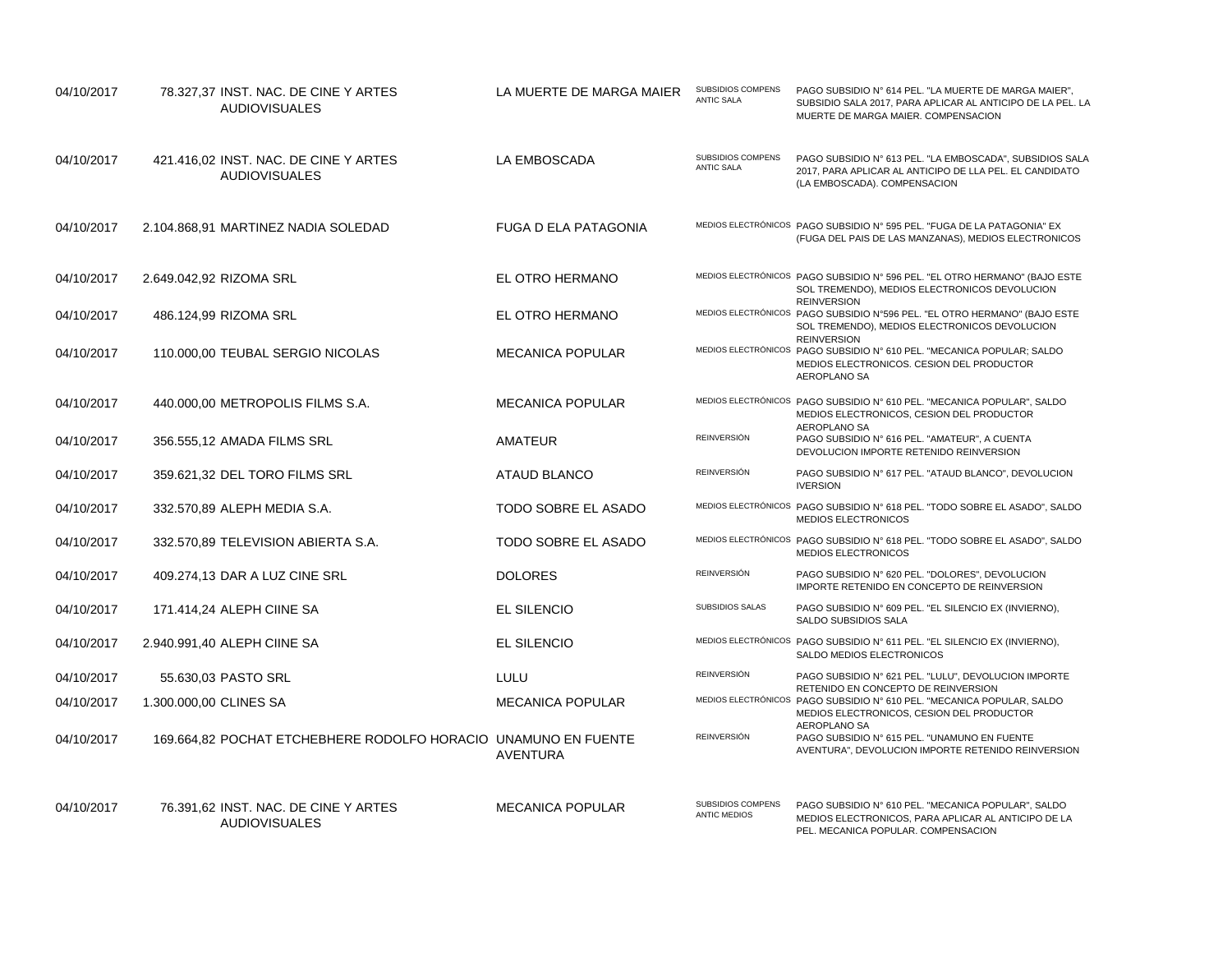| 04/10/2017 | 78.327,37 INST. NAC. DE CINE Y ARTES<br><b>AUDIOVISUALES</b>   | LA MUERTE DE MARGA MAIER    | SUBSIDIOS COMPENS<br><b>ANTIC SALA</b>   | PAGO SUBSIDIO Nº 614 PEL. "LA MUERTE DE MARGA MAIER",<br>SUBSIDIO SALA 2017, PARA APLICAR AL ANTICIPO DE LA PEL. LA<br>MUERTE DE MARGA MAIER, COMPENSACION |
|------------|----------------------------------------------------------------|-----------------------------|------------------------------------------|------------------------------------------------------------------------------------------------------------------------------------------------------------|
| 04/10/2017 | 421.416,02 INST. NAC. DE CINE Y ARTES<br><b>AUDIOVISUALES</b>  | LA EMBOSCADA                | SUBSIDIOS COMPENS<br><b>ANTIC SALA</b>   | PAGO SUBSIDIO Nº 613 PEL. "LA EMBOSCADA", SUBSIDIOS SALA<br>2017, PARA APLICAR AL ANTICIPO DE LLA PEL. EL CANDIDATO<br>(LA EMBOSCADA). COMPENSACION        |
| 04/10/2017 | 2.104.868,91 MARTINEZ NADIA SOLEDAD                            | <b>FUGA D ELA PATAGONIA</b> |                                          | MEDIOS ELECTRÓNICOS PAGO SUBSIDIO Nº 595 PEL. "FUGA DE LA PATAGONIA" EX<br>(FUGA DEL PAIS DE LAS MANZANAS), MEDIOS ELECTRONICOS                            |
| 04/10/2017 | 2.649.042,92 RIZOMA SRL                                        | EL OTRO HERMANO             |                                          | MEDIOS ELECTRÓNICOS PAGO SUBSIDIO Nº 596 PEL. "EL OTRO HERMANO" (BAJO ESTE<br>SOL TREMENDO), MEDIOS ELECTRONICOS DEVOLUCION<br><b>REINVERSION</b>          |
| 04/10/2017 | 486.124,99 RIZOMA SRL                                          | EL OTRO HERMANO             |                                          | MEDIOS ELECTRÓNICOS PAGO SUBSIDIO Nº596 PEL. "EL OTRO HERMANO" (BAJO ESTE<br>SOL TREMENDO), MEDIOS ELECTRONICOS DEVOLUCION<br><b>REINVERSION</b>           |
| 04/10/2017 | 110.000,00 TEUBAL SERGIO NICOLAS                               | <b>MECANICA POPULAR</b>     |                                          | MEDIOS ELECTRÓNICOS PAGO SUBSIDIO Nº 610 PEL. "MECANICA POPULAR; SALDO<br>MEDIOS ELECTRONICOS. CESION DEL PRODUCTOR<br>AEROPLANO SA                        |
| 04/10/2017 | 440.000,00 METROPOLIS FILMS S.A.                               | <b>MECANICA POPULAR</b>     |                                          | MEDIOS ELECTRÓNICOS PAGO SUBSIDIO Nº 610 PEL. "MECANICA POPULAR", SALDO<br>MEDIOS ELECTRONICOS, CESION DEL PRODUCTOR                                       |
| 04/10/2017 | 356.555,12 AMADA FILMS SRL                                     | <b>AMATEUR</b>              | <b>REINVERSIÓN</b>                       | AEROPLANO SA<br>PAGO SUBSIDIO Nº 616 PEL. "AMATEUR", A CUENTA<br>DEVOLUCION IMPORTE RETENIDO REINVERSION                                                   |
| 04/10/2017 | 359.621,32 DEL TORO FILMS SRL                                  | ATAUD BLANCO                | <b>REINVERSIÓN</b>                       | PAGO SUBSIDIO Nº 617 PEL. "ATAUD BLANCO", DEVOLUCION<br><b>IVERSION</b>                                                                                    |
| 04/10/2017 | 332.570,89 ALEPH MEDIA S.A.                                    | TODO SOBRE EL ASADO         |                                          | MEDIOS ELECTRÓNICOS PAGO SUBSIDIO Nº 618 PEL. "TODO SOBRE EL ASADO", SALDO<br>MEDIOS ELECTRONICOS                                                          |
| 04/10/2017 | 332.570,89 TELEVISION ABIERTA S.A.                             | TODO SOBRE EL ASADO         |                                          | MEDIOS ELECTRÓNICOS PAGO SUBSIDIO Nº 618 PEL. "TODO SOBRE EL ASADO", SALDO<br>MEDIOS ELECTRONICOS                                                          |
| 04/10/2017 | 409.274.13 DAR A LUZ CINE SRL                                  | <b>DOLORES</b>              | <b>REINVERSIÓN</b>                       | PAGO SUBSIDIO Nº 620 PEL. "DOLORES", DEVOLUCION<br>IMPORTE RETENIDO EN CONCEPTO DE REINVERSION                                                             |
| 04/10/2017 | 171.414,24 ALEPH CIINE SA                                      | <b>EL SILENCIO</b>          | SUBSIDIOS SALAS                          | PAGO SUBSIDIO Nº 609 PEL. "EL SILENCIO EX (INVIERNO),<br>SALDO SUBSIDIOS SALA                                                                              |
| 04/10/2017 | 2.940.991,40 ALEPH CIINE SA                                    | <b>EL SILENCIO</b>          |                                          | MEDIOS ELECTRÓNICOS PAGO SUBSIDIO Nº 611 PEL. "EL SILENCIO EX (INVIERNO),<br>SALDO MEDIOS ELECTRONICOS                                                     |
| 04/10/2017 | 55.630,03 PASTO SRL                                            | LULU                        | REINVERSIÓN                              | PAGO SUBSIDIO Nº 621 PEL. "LULU", DEVOLUCION IMPORTE                                                                                                       |
| 04/10/2017 | 1.300.000,00 CLINES SA                                         | <b>MECANICA POPULAR</b>     |                                          | RETENIDO EN CONCEPTO DE REINVERSION<br>MEDIOS ELECTRÓNICOS PAGO SUBSIDIO Nº 610 PEL. "MECANICA POPULAR, SALDO<br>MEDIOS ELECTRONICOS, CESION DEL PRODUCTOR |
| 04/10/2017 | 169.664.82 POCHAT ETCHEBHERE RODOLFO HORACIO UNAMUNO EN FUENTE | <b>AVENTURA</b>             | REINVERSIÓN                              | AEROPLANO SA<br>PAGO SUBSIDIO Nº 615 PEL. "UNAMUNO EN FUENTE<br>AVENTURA", DEVOLUCION IMPORTE RETENIDO REINVERSION                                         |
| 04/10/2017 | 76.391,62 INST. NAC. DE CINE Y ARTES<br><b>AUDIOVISUALES</b>   | <b>MECANICA POPULAR</b>     | SUBSIDIOS COMPENS<br><b>ANTIC MEDIOS</b> | PAGO SUBSIDIO Nº 610 PEL. "MECANICA POPULAR", SALDO<br>MEDIOS ELECTRONICOS, PARA APLICAR AL ANTICIPO DE LA<br>PEL. MECANICA POPULAR. COMPENSACION          |